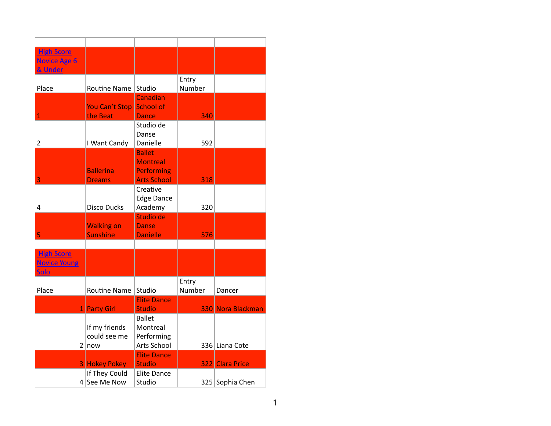| <b>High Score</b>                                                                               |                   |
|-------------------------------------------------------------------------------------------------|-------------------|
| <b>Novice Age 6</b>                                                                             |                   |
| & Under                                                                                         |                   |
| Entry                                                                                           |                   |
| Number<br>Place<br>Routine Name<br>Studio                                                       |                   |
| Canadian                                                                                        |                   |
| <b>School of</b><br><b>You Can't Stop</b>                                                       |                   |
| $\overline{1}$<br>the Beat<br>340<br><b>Dance</b>                                               |                   |
| Studio de                                                                                       |                   |
| Danse                                                                                           |                   |
| 592<br>$\overline{2}$<br>I Want Candy<br>Danielle                                               |                   |
| <b>Ballet</b>                                                                                   |                   |
| <b>Montreal</b>                                                                                 |                   |
| <b>Ballerina</b><br><b>Performing</b>                                                           |                   |
| 3<br><b>Arts School</b><br>318<br><b>Dreams</b>                                                 |                   |
| Creative                                                                                        |                   |
| <b>Edge Dance</b>                                                                               |                   |
| <b>Disco Ducks</b><br>Academy<br>320<br>4                                                       |                   |
| Studio de                                                                                       |                   |
| <b>Walking on</b><br><b>Danse</b>                                                               |                   |
| 5<br><b>Sunshine</b><br><b>Danielle</b><br>576                                                  |                   |
|                                                                                                 |                   |
| <b>High Score</b>                                                                               |                   |
| <b>Novice Young</b>                                                                             |                   |
| <u>Solo</u>                                                                                     |                   |
| Entry                                                                                           |                   |
| Number<br>Place<br>Routine Name<br>Studio<br>Dancer<br><b>Elite Dance</b>                       |                   |
| <b>Studio</b>                                                                                   |                   |
| 1 Party Girl<br><b>Ballet</b>                                                                   | 330 Nora Blackman |
| If my friends<br>Montreal                                                                       |                   |
| could see me<br>Performing                                                                      |                   |
| Arts School<br>2 now<br>336 Liana Cote                                                          |                   |
| <b>Elite Dance</b>                                                                              |                   |
|                                                                                                 |                   |
|                                                                                                 |                   |
| <b>3 Hokey Pokey</b><br><b>Studio</b><br>322 Clara Price<br>If They Could<br><b>Elite Dance</b> |                   |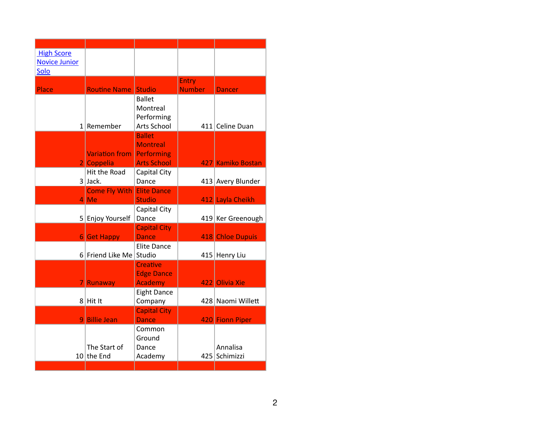| <b>High Score</b><br><b>Novice Junior</b> |                                                       |                                                                      |                               |                           |
|-------------------------------------------|-------------------------------------------------------|----------------------------------------------------------------------|-------------------------------|---------------------------|
| Solo                                      |                                                       |                                                                      |                               |                           |
| Place                                     | <b>Routine Name</b>                                   | <b>Studio</b>                                                        | <b>Entry</b><br><b>Number</b> | <b>Dancer</b>             |
|                                           | $1$ Remember                                          | <b>Ballet</b><br>Montreal<br>Performing<br>Arts School               |                               | 411 Celine Duan           |
|                                           | <b>Variation from</b><br>2 Coppelia                   | <b>Ballet</b><br><b>Montreal</b><br>Performing<br><b>Arts School</b> |                               | 427 Kamiko Bostan         |
|                                           | Hit the Road<br>$3$ Jack.                             | Capital City<br>Dance                                                |                               | 413 Avery Blunder         |
|                                           | <b>Come Fly With Elite Dance</b><br>$\overline{4}$ Me | <b>Studio</b>                                                        |                               | 412 Layla Cheikh          |
|                                           | 5 Enjoy Yourself                                      | Capital City<br>Dance                                                |                               | 419 Ker Greenough         |
|                                           | <b>6</b> Get Happy                                    | <b>Capital City</b><br><b>Dance</b>                                  |                               | 418 Chloe Dupuis          |
|                                           | 6 Friend Like Me Studio                               | <b>Elite Dance</b>                                                   |                               | 415 Henry Liu             |
|                                           | <b>Runaway</b>                                        | <b>Creative</b><br><b>Edge Dance</b><br><b>Academy</b>               |                               | 422 Olivia Xie            |
|                                           | $8$ Hit It                                            | <b>Eight Dance</b><br>Company                                        |                               | 428 Naomi Willett         |
|                                           | 9 Billie Jean                                         | <b>Capital City</b><br><b>Dance</b>                                  |                               | 420 Fionn Piper           |
|                                           | The Start of<br>$10$ the End                          | Common<br>Ground<br>Dance<br>Academy                                 |                               | Annalisa<br>425 Schimizzi |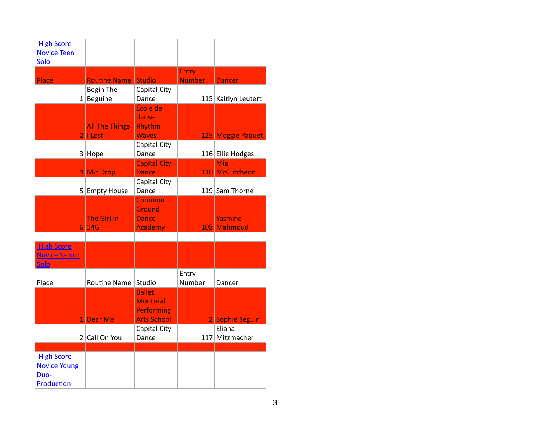| <b>High Score</b><br><b>Novice Teen</b><br>Solo                |                                        |                                                                             |                        |                               |
|----------------------------------------------------------------|----------------------------------------|-----------------------------------------------------------------------------|------------------------|-------------------------------|
| Place                                                          | <b>Routine Name</b>                    | Studio                                                                      | Entry<br><b>Number</b> | <b>Dancer</b>                 |
|                                                                | <b>Begin The</b><br>$1$   Beguine      | Capital City<br>Dance                                                       |                        | 115 Kaitlyn Leutert           |
| $\overline{2}$                                                 | <b>All The Things</b><br><b>I Lost</b> | École de<br>danse<br>Rhythm<br><b>Waves</b>                                 |                        | 125 Meggie Paquet             |
|                                                                | $3$ Hope                               | Capital City<br>Dance                                                       |                        | 116 Ellie Hodges              |
|                                                                | 4 Mic Drop                             | <b>Capital City</b><br><b>Dance</b>                                         |                        | Mia<br>110 McCutcheon         |
|                                                                | 5 Empty House                          | Capital City<br>Dance                                                       |                        | 119 Sam Thorne                |
|                                                                | <b>The Girl in</b><br>6 14G            | <b>Common</b><br>Ground<br><b>Dance</b><br>Academy                          |                        | <b>Yasmine</b><br>108 Mahmoud |
| <b>High Score</b><br><b>Novice Senior</b><br><b>Solo</b>       |                                        |                                                                             |                        |                               |
| Place                                                          | <b>Routine Name</b>                    | Studio                                                                      | Entry<br>Number        | Dancer                        |
| 11                                                             | <b>Dear Me</b>                         | <b>Ballet</b><br><b>Montreal</b><br><b>Performing</b><br><b>Arts School</b> |                        | 2 Sophie Seguin               |
| 2 <sup>1</sup>                                                 | Call On You                            | Capital City<br>Dance                                                       | 117                    | Eliana<br>Mitzmacher          |
| <b>High Score</b><br><b>Novice Young</b><br>Duo-<br>Production |                                        |                                                                             |                        |                               |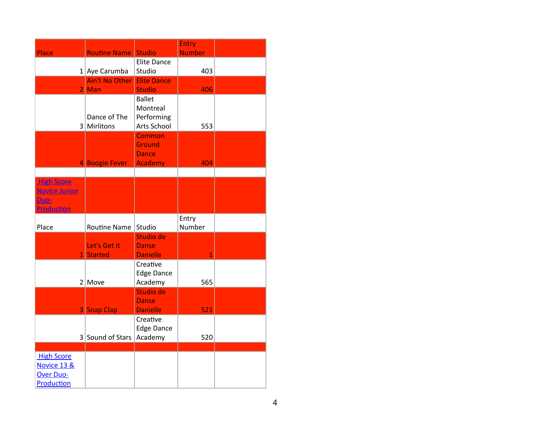|                                                                        |                                |                                              | Entry           |  |
|------------------------------------------------------------------------|--------------------------------|----------------------------------------------|-----------------|--|
| Place                                                                  | <b>Routine Name Studio</b>     |                                              | <b>Number</b>   |  |
|                                                                        | $1$ Aye Carumba                | <b>Elite Dance</b><br>Studio                 | 403             |  |
| 21                                                                     | <b>Ain't No Other</b>          | <b>Elite Dance</b>                           |                 |  |
|                                                                        | Man                            | <b>Studio</b><br><b>Ballet</b>               | 406             |  |
|                                                                        | Dance of The<br>3 Mirlitons    | Montreal<br>Performing<br>Arts School        | 553             |  |
|                                                                        |                                | Common<br><b>Ground</b><br><b>Dance</b>      |                 |  |
|                                                                        | 4 Boogie Fever                 | <b>Academy</b>                               | 404             |  |
|                                                                        |                                |                                              |                 |  |
| <b>High Score</b><br><b>Novice Junior</b><br>Duo-<br><b>Production</b> |                                |                                              |                 |  |
| Place                                                                  | Routine Name                   | Studio                                       | Entry<br>Number |  |
| 11                                                                     | Let's Get it<br><b>Started</b> | Studio de<br><b>Danse</b><br><b>Danielle</b> | 1               |  |
|                                                                        | $2 \vert$ Move                 | Creative<br><b>Edge Dance</b><br>Academy     | 565             |  |
|                                                                        | 3 Snap Clap                    | Studio de<br><b>Danse</b><br><b>Danielle</b> | 521             |  |
|                                                                        | 3 Sound of Stars               | Creative<br><b>Edge Dance</b><br>Academy     | 520             |  |
|                                                                        |                                |                                              |                 |  |
| <b>High Score</b><br>Novice 13 &                                       |                                |                                              |                 |  |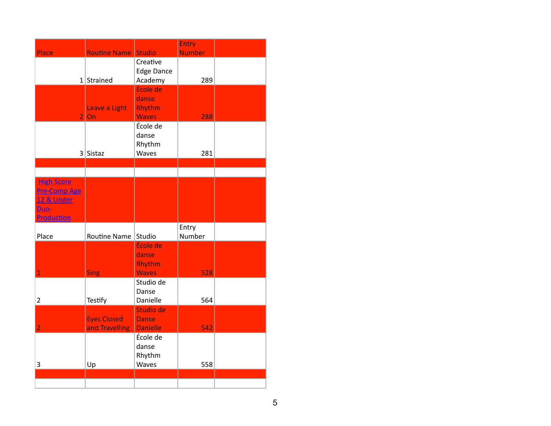|                       |                     |                           | Entry         |  |
|-----------------------|---------------------|---------------------------|---------------|--|
| Place                 | <b>Routine Name</b> | <b>Studio</b><br>Creative | <b>Number</b> |  |
|                       |                     | <b>Edge Dance</b>         |               |  |
|                       | $1$ Strained        | Academy                   | 289           |  |
|                       |                     | École de                  |               |  |
|                       |                     | danse                     |               |  |
|                       | Leave a Light       | Rhythm                    |               |  |
| $\overline{2}$        | On                  | <b>Waves</b>              | 288           |  |
|                       |                     | École de                  |               |  |
|                       |                     | danse                     |               |  |
|                       |                     | Rhythm                    |               |  |
|                       | $3$ Sistaz          | Waves                     | 281           |  |
|                       |                     |                           |               |  |
| <b>High Score</b>     |                     |                           |               |  |
| <b>Pre-Comp Age</b>   |                     |                           |               |  |
| <b>12 &amp; Under</b> |                     |                           |               |  |
| Duo-                  |                     |                           |               |  |
| Production            |                     |                           |               |  |
|                       |                     |                           | Entry         |  |
| Place                 | Routine Name        | Studio                    | Number        |  |
|                       |                     | École de                  |               |  |
|                       |                     | danse                     |               |  |
| $\mathbf{1}$          |                     | Rhythm<br><b>Waves</b>    |               |  |
|                       | <b>Sing</b>         | Studio de                 | 528           |  |
|                       |                     | Danse                     |               |  |
| $\overline{2}$        | Testify             | Danielle                  | 564           |  |
|                       |                     | Studio de                 |               |  |
|                       | <b>Eyes Closed</b>  | <b>Danse</b>              |               |  |
| $\overline{2}$        | and Travelling      | <b>Danielle</b>           | 542           |  |
|                       |                     | École de                  |               |  |
|                       |                     | danse                     |               |  |
|                       |                     | Rhythm                    |               |  |
| 3                     | Up                  | Waves                     | 558           |  |
|                       |                     |                           |               |  |
|                       |                     |                           |               |  |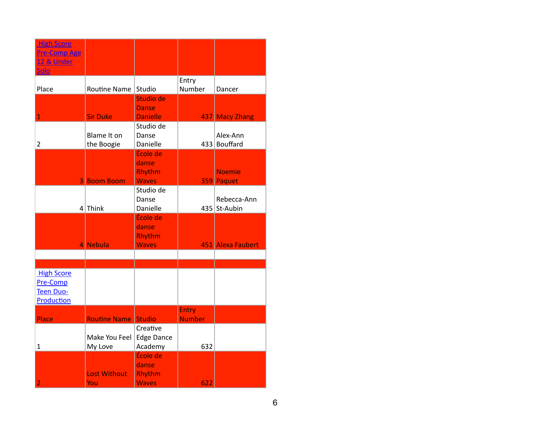| <b>High Score</b><br><b>Pre-Comp Age</b><br>12 & Under   |                            |                                             |                 |                             |
|----------------------------------------------------------|----------------------------|---------------------------------------------|-----------------|-----------------------------|
| Solo                                                     |                            |                                             |                 |                             |
| Place                                                    | Routine Name               | Studio                                      | Entry<br>Number | Dancer                      |
|                                                          |                            | Studio de<br><b>Danse</b>                   |                 |                             |
| $\mathbf{1}$                                             | <b>Sir Duke</b>            | <b>Danielle</b><br>Studio de                |                 | 437 Macy Zhang              |
| $\overline{2}$                                           | Blame It on<br>the Boogie  | Danse<br>Danielle                           |                 | Alex-Ann<br>433 Bouffard    |
|                                                          |                            | École de<br>danse<br>Rhythm                 |                 | <b>Noemie</b>               |
|                                                          | <b>3 Boom Boom</b>         | <b>Waves</b>                                |                 | 359 Paquet                  |
|                                                          | $4$ Think                  | Studio de<br>Danse<br>Danielle              |                 | Rebecca-Ann<br>435 St-Aubin |
|                                                          |                            | École de<br>danse<br>Rhythm                 |                 |                             |
|                                                          | 4 Nebula                   | <b>Waves</b>                                |                 | 451 Alexa Faubert           |
|                                                          |                            |                                             |                 |                             |
|                                                          |                            |                                             |                 |                             |
| <b>High Score</b><br>Pre-Comp<br>Teen Duo-<br>Production |                            |                                             |                 |                             |
|                                                          |                            |                                             | Entry           |                             |
| Place                                                    | <b>Routine Name Studio</b> |                                             | <b>Number</b>   |                             |
| $\mathbf{1}$                                             | Make You Feel<br>My Love   | Creative<br><b>Edge Dance</b><br>Academy    | 632             |                             |
| $\overline{2}$                                           | <b>Lost Without</b><br>You | École de<br>danse<br>Rhythm<br><b>Waves</b> | 622             |                             |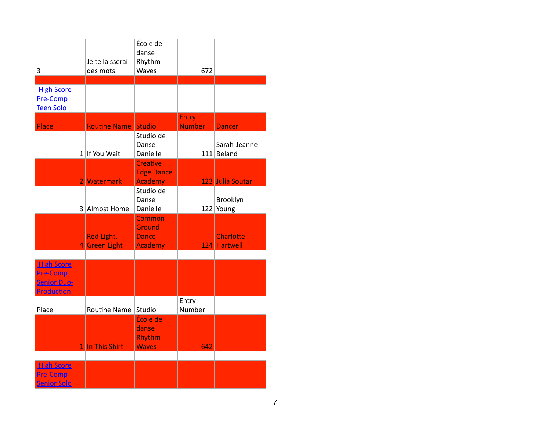| 3                                                                        | Je te laisserai<br>des mots        | École de<br>danse<br>Rhythm<br>Waves                             | 672                           |                                  |
|--------------------------------------------------------------------------|------------------------------------|------------------------------------------------------------------|-------------------------------|----------------------------------|
| <b>High Score</b><br>Pre-Comp<br><b>Teen Solo</b>                        |                                    |                                                                  |                               |                                  |
| Place                                                                    | <b>Routine Name</b>                | <b>Studio</b>                                                    | <b>Entry</b><br><b>Number</b> | <b>Dancer</b>                    |
|                                                                          | $1$ If You Wait                    | Studio de<br>Danse<br>Danielle                                   |                               | Sarah-Jeanne<br>$111$ Beland     |
|                                                                          | 2 Watermark                        | <b>Creative</b><br><b>Edge Dance</b><br><b>Academy</b>           |                               | 123 Julia Soutar                 |
|                                                                          | 3 Almost Home                      | Studio de<br>Danse<br>Danielle                                   |                               | Brooklyn<br>$122$ Young          |
|                                                                          | <b>Red Light,</b><br>4 Green Light | <b>Common</b><br><b>Ground</b><br><b>Dance</b><br><b>Academy</b> |                               | <b>Charlotte</b><br>124 Hartwell |
| <b>High Score</b><br><b>Pre-Comp</b><br><b>Senior Duo-</b><br>Production |                                    |                                                                  |                               |                                  |
| Place                                                                    | <b>Routine Name</b>                | Studio<br>École de                                               | Entry<br>Number               |                                  |
|                                                                          | 1 In This Shirt                    | danse<br>Rhythm<br><b>Waves</b>                                  | 642                           |                                  |
| <b>High Score</b><br>Pre-Comp<br><b>Senior Solo</b>                      |                                    |                                                                  |                               |                                  |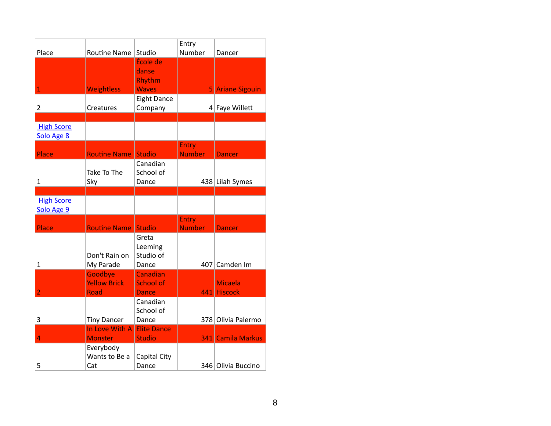|                   |                      |                       | Entry         |                    |
|-------------------|----------------------|-----------------------|---------------|--------------------|
| Place             | Routine Name         | Studio                | Number        | Dancer             |
|                   |                      | École de              |               |                    |
|                   |                      | danse                 |               |                    |
|                   |                      | Rhythm                |               |                    |
| 1                 | <b>Weightless</b>    | <b>Waves</b>          |               | 5 Ariane Sigouin   |
|                   |                      | <b>Eight Dance</b>    |               |                    |
| $\overline{2}$    | Creatures            | Company               |               | 4 Faye Willett     |
|                   |                      |                       |               |                    |
| <b>High Score</b> |                      |                       |               |                    |
| Solo Age 8        |                      |                       |               |                    |
|                   |                      |                       | <b>Entry</b>  |                    |
| Place             | <b>Routine Name</b>  | <b>Studio</b>         | <b>Number</b> | <b>Dancer</b>      |
|                   |                      | Canadian              |               |                    |
|                   | Take To The          | School of             |               |                    |
| 1                 | Sky                  | Dance                 |               | 438 Lilah Symes    |
|                   |                      |                       |               |                    |
| <b>High Score</b> |                      |                       |               |                    |
|                   |                      |                       |               |                    |
| Solo Age 9        |                      |                       |               |                    |
|                   |                      |                       | <b>Entry</b>  |                    |
| Place             | <b>Routine Name</b>  | <b>Studio</b>         | <b>Number</b> | <b>Dancer</b>      |
|                   |                      | Greta                 |               |                    |
|                   |                      | Leeming               |               |                    |
|                   | Don't Rain on        | Studio of             |               |                    |
| 1                 | My Parade            | Dance                 | 407           | Camden Im          |
|                   | Goodbye              | Canadian              |               |                    |
|                   | <b>Yellow Brick</b>  | <b>School of</b>      |               | <b>Micaela</b>     |
| $\overline{2}$    | <b>Road</b>          | Dance                 | 441           | <b>Hiscock</b>     |
|                   |                      | Canadian              |               |                    |
|                   |                      | School of             |               |                    |
| 3                 | <b>Tiny Dancer</b>   | Dance                 |               | 378 Olivia Palermo |
|                   | In Love With A       | <b>Elite Dance</b>    |               |                    |
| 4                 | <b>Monster</b>       | <b>Studio</b>         |               | 341 Camila Markus  |
|                   | Everybody            |                       |               |                    |
| 5                 | Wants to Be a<br>Cat | Capital City<br>Dance |               | 346 Olivia Buccino |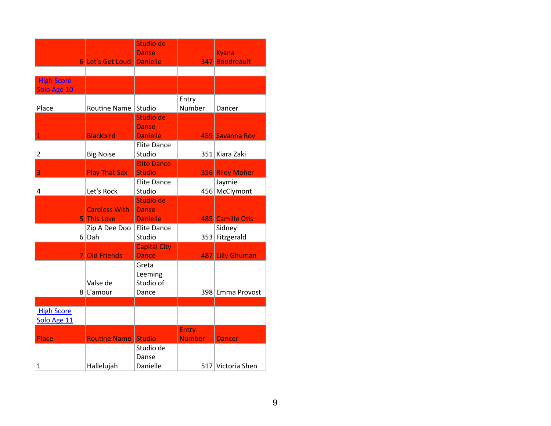|                                  | 6 Let's Get Loud                    | Studio de<br><b>Danse</b><br>Danielle        |                               | <b>Kyana</b><br>347 Boudreault |
|----------------------------------|-------------------------------------|----------------------------------------------|-------------------------------|--------------------------------|
|                                  |                                     |                                              |                               |                                |
| <b>High Score</b><br>Solo Age 10 |                                     |                                              |                               |                                |
| Place                            | <b>Routine Name</b>                 | Studio                                       | Entry<br>Number               | Dancer                         |
| 1                                | <b>Blackbird</b>                    | Studio de<br>Danse<br><b>Danielle</b>        |                               | 459 Savanna Roy                |
| $\overline{2}$                   | <b>Big Noise</b>                    | <b>Elite Dance</b><br>Studio                 |                               | 351 Kiara Zaki                 |
| 3                                | <b>Play That Sax</b>                | <b>Elite Dance</b><br><b>Studio</b>          |                               | 356 Riley Moher                |
| 4                                | Let's Rock                          | <b>Elite Dance</b><br>Studio                 |                               | Jaymie<br>456 McClymont        |
|                                  | <b>Careless With</b><br>5 This Love | Studio de<br><b>Danse</b><br><b>Danielle</b> |                               | 485 Camille Otis               |
|                                  | Zip A Dee Doo<br>$6$ Dah            | <b>Elite Dance</b><br>Studio                 |                               | Sidney<br>353 Fitzgerald       |
|                                  | 7 Old Friends                       | <b>Capital City</b><br><b>Dance</b>          |                               | 487 Lilly Ghuman               |
|                                  | Valse de<br>$8$   L'amour           | Greta<br>Leeming<br>Studio of<br>Dance       |                               | 398 Emma Provost               |
| <b>High Score</b><br>Solo Age 11 |                                     |                                              |                               |                                |
| Place                            | <b>Routine Name Studio</b>          |                                              | <b>Entry</b><br><b>Number</b> | <b>Dancer</b>                  |
| 1                                | Hallelujah                          | Studio de<br>Danse<br>Danielle               |                               | 517 Victoria Shen              |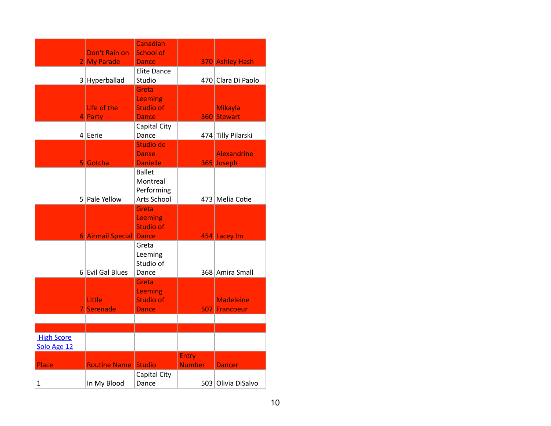|                                  | Don't Rain on                  | Canadian<br><b>School of</b>                                |                               |                                   |
|----------------------------------|--------------------------------|-------------------------------------------------------------|-------------------------------|-----------------------------------|
| 21                               | <b>My Parade</b>               | <b>Dance</b>                                                |                               | 370 Ashley Hash                   |
|                                  | $3$ Hyperballad                | <b>Elite Dance</b><br>Studio                                |                               | 470 Clara Di Paolo                |
|                                  | Life of the                    | Greta<br>Leeming<br><b>Studio of</b>                        |                               | <b>Mikayla</b>                    |
|                                  | 4 Party<br>$4$ Eerie           | <b>Dance</b><br>Capital City<br>Dance                       |                               | 360 Stewart<br>474 Tilly Pilarski |
|                                  | 5 Gotcha                       | Studio de<br><b>Danse</b><br><b>Danielle</b>                |                               | <b>Alexandrine</b><br>365 Joseph  |
|                                  | 5 Pale Yellow                  | <b>Ballet</b><br>Montreal<br>Performing<br>Arts School      |                               | 473 Melia Cotie                   |
|                                  | <b>6 Airmail Special Dance</b> | Greta<br>Leeming<br><b>Studio of</b>                        |                               | 454 Lacey Im                      |
|                                  | 6 Evil Gal Blues               | Greta<br>Leeming<br>Studio of<br>Dance                      |                               | 368 Amira Small                   |
|                                  | Little<br>Serenade             | Greta<br><b>Leeming</b><br><b>Studio of</b><br><b>Dance</b> |                               | <b>Madeleine</b><br>507 Francoeur |
|                                  |                                |                                                             |                               |                                   |
| <b>High Score</b><br>Solo Age 12 |                                |                                                             |                               |                                   |
| Place                            | <b>Routine Name Studio</b>     |                                                             | <b>Entry</b><br><b>Number</b> | <b>Dancer</b>                     |
| $\mathbf 1$                      | In My Blood                    | Capital City<br>Dance                                       |                               | 503 Olivia DiSalvo                |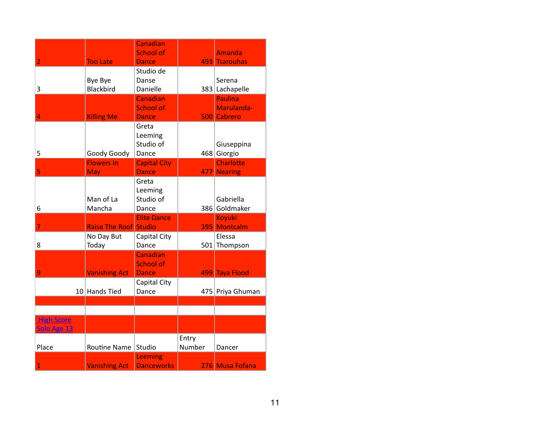|                                  |                              | Canadian                         |        |                                |
|----------------------------------|------------------------------|----------------------------------|--------|--------------------------------|
| $\overline{2}$                   | <b>Too Late</b>              | <b>School of</b><br><b>Dance</b> |        | <b>Amanda</b><br>493 Tsarouhas |
|                                  |                              | Studio de                        |        |                                |
|                                  | Bye Bye                      | Danse                            |        | Serena                         |
| 3                                | <b>Blackbird</b>             | Danielle                         |        | 383 Lachapelle                 |
|                                  |                              | Canadian                         |        | <b>Paulina</b>                 |
|                                  |                              | <b>School of</b>                 |        | Marulanda-                     |
| 4                                | <b>Killing Me</b>            | <b>Dance</b><br>Greta            |        | 500 Cabrero                    |
|                                  |                              | Leeming                          |        |                                |
|                                  |                              | Studio of                        |        | Giuseppina                     |
| 5                                | Goody Goody                  | Dance                            |        | 468 Giorgio                    |
|                                  | <b>Flowers in</b>            | <b>Capital City</b>              |        | <b>Charlotte</b>               |
| 5                                | May                          | <b>Dance</b>                     |        | 477 Nearing                    |
|                                  |                              | Greta                            |        |                                |
|                                  | Man of La                    | Leeming<br>Studio of             |        | Gabriella                      |
| 6                                | Mancha                       | Dance                            |        | 386 Goldmaker                  |
|                                  |                              | <b>Elite Dance</b>               |        | <b>Koyuki</b>                  |
| 7                                | <b>Raise The Roof Studio</b> |                                  |        | 395 Montcalm                   |
|                                  | No Day But                   | Capital City                     |        | Elessa                         |
| 8                                | Today                        | Dance                            |        | 501 Thompson                   |
|                                  |                              | Canadian<br><b>School of</b>     |        |                                |
| 9                                | <b>Vanishing Act</b>         | <b>Dance</b>                     |        | 499 Taya Flood                 |
|                                  |                              | Capital City                     |        |                                |
|                                  | 10 Hands Tied                | Dance                            |        | 475 Priya Ghuman               |
|                                  |                              |                                  |        |                                |
|                                  |                              |                                  |        |                                |
| <b>High Score</b><br>Solo Age 13 |                              |                                  |        |                                |
|                                  |                              |                                  | Entry  |                                |
| Place                            | Routine Name                 | Studio                           | Number | Dancer                         |
|                                  |                              | Leeming                          |        |                                |
| $\overline{1}$                   | <b>Vanishing Act</b>         | <b>Danceworks</b>                |        | 276 Musa Fofana                |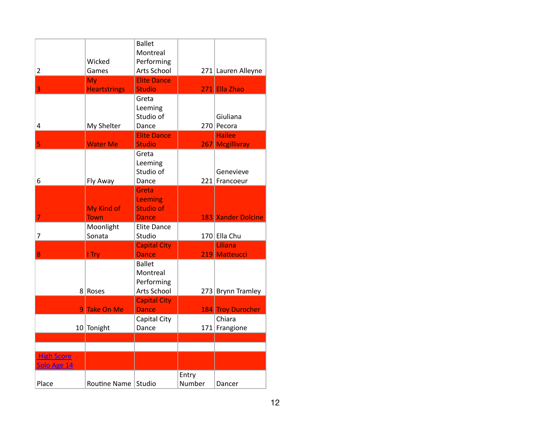| $\overline{2}$                   | Wicked<br>Games                   | <b>Ballet</b><br>Montreal<br>Performing<br>Arts School  |                 | 271 Lauren Alleyne                            |
|----------------------------------|-----------------------------------|---------------------------------------------------------|-----------------|-----------------------------------------------|
|                                  | My                                | <b>Elite Dance</b>                                      |                 |                                               |
| 3<br>4                           | <b>Heartstrings</b><br>My Shelter | <b>Studio</b><br>Greta<br>Leeming<br>Studio of<br>Dance |                 | 271 Ella Zhao<br>Giuliana<br>270 Pecora       |
|                                  |                                   | <b>Elite Dance</b>                                      |                 | <b>Hailee</b>                                 |
| 5<br>6                           | <b>Water Me</b><br>Fly Away       | <b>Studio</b><br>Greta<br>Leeming<br>Studio of<br>Dance |                 | 267 Mcgillivray<br>Genevieve<br>221 Francoeur |
| 7                                | My Kind of<br><b>Town</b>         | Greta<br>Leeming<br><b>Studio of</b><br><b>Dance</b>    |                 | 183 Xander Dolcine                            |
| 7                                | Moonlight<br>Sonata               | <b>Elite Dance</b><br>Studio                            |                 | 170 Ella Chu                                  |
| 8                                | <b>I</b> Try                      | <b>Capital City</b><br><b>Dance</b>                     |                 | Liliana<br>219 Matteucci                      |
| 8                                | Roses                             | <b>Ballet</b><br>Montreal<br>Performing<br>Arts School  |                 | 273 Brynn Tramley                             |
|                                  | 9 Take On Me                      | <b>Capital City</b><br><b>Dance</b>                     |                 | 184 Troy Durocher                             |
|                                  | 10 Tonight                        | Capital City<br>Dance                                   |                 | Chiara<br>171 Frangione                       |
|                                  |                                   |                                                         |                 |                                               |
| <b>High Score</b><br>Solo Age 14 |                                   |                                                         |                 |                                               |
| Place                            | Routine Name                      | Studio                                                  | Entry<br>Number | Dancer                                        |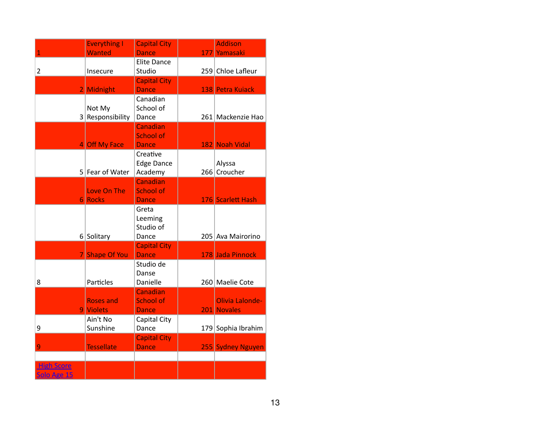|                                  | <b>Everything I</b>           | <b>Capital City</b>                          | <b>Addison</b>                 |
|----------------------------------|-------------------------------|----------------------------------------------|--------------------------------|
| 1                                | <b>Wanted</b>                 | <b>Dance</b>                                 | 177 Yamasaki                   |
| $\overline{2}$                   | Insecure                      | <b>Elite Dance</b><br>Studio                 | 259 Chloe Lafleur              |
|                                  | 2 Midnight                    | <b>Capital City</b><br><b>Dance</b>          | 138 Petra Kuiack               |
|                                  | Not My<br>3 Responsibility    | Canadian<br>School of<br>Dance               | 261 Mackenzie Hao              |
|                                  | 4 Off My Face                 | Canadian<br><b>School of</b><br><b>Dance</b> | 182 Noah Vidal                 |
|                                  | 5 Fear of Water               | Creative<br><b>Edge Dance</b><br>Academy     | Alyssa<br>266 Croucher         |
|                                  | Love On The<br><b>6 Rocks</b> | Canadian<br>School of<br><b>Dance</b>        | 176 Scarlett Hash              |
|                                  | 6 Solitary                    | Greta<br>Leeming<br>Studio of<br>Dance       | 205 Ava Mairorino              |
|                                  | 7 Shape Of You                | <b>Capital City</b><br><b>Dance</b>          | 178 Jada Pinnock               |
| 8                                | Particles                     | Studio de<br>Danse<br>Danielle               | 260 Maelie Cote                |
|                                  | <b>Roses and</b><br>9 Violets | Canadian<br>School of<br><b>Dance</b>        | Olivia Lalonde-<br>201 Novales |
| 9                                | Ain't No<br>Sunshine          | Capital City<br>Dance                        | 179 Sophia Ibrahim             |
| 9                                | <b>Tessellate</b>             | <b>Capital City</b><br><b>Dance</b>          | 255 Sydney Nguyen              |
| <b>High Score</b><br>Solo Age 15 |                               |                                              |                                |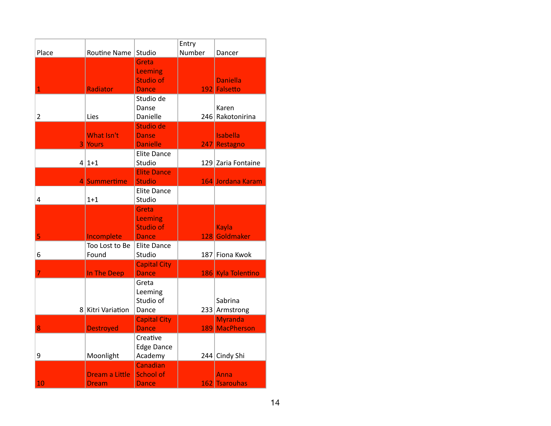|                |                   | Studio                              | Entry<br>Number |                                  |
|----------------|-------------------|-------------------------------------|-----------------|----------------------------------|
| Place          | Routine Name      |                                     |                 | Dancer                           |
|                |                   | Greta<br>Leeming                    |                 |                                  |
|                |                   | <b>Studio of</b>                    |                 | <b>Daniella</b>                  |
| $\mathbf{1}$   | Radiator          | <b>Dance</b>                        |                 | 192 Falsetto                     |
|                |                   | Studio de                           |                 |                                  |
|                |                   | Danse                               |                 | Karen                            |
| $\overline{2}$ | Lies              | Danielle                            |                 | 246 Rakotonirina                 |
|                |                   | Studio de                           |                 |                                  |
|                | What Isn't        | <b>Danse</b>                        |                 | <b>Isabella</b>                  |
|                | 3 Yours           | <b>Danielle</b>                     |                 | 247 Restagno                     |
|                |                   | <b>Elite Dance</b>                  |                 |                                  |
|                | $4 1+1$           | Studio                              |                 | 129 Zaria Fontaine               |
|                | 4 Summertime      | <b>Elite Dance</b><br><b>Studio</b> |                 | 164 Jordana Karam                |
|                |                   | <b>Elite Dance</b>                  |                 |                                  |
| 4              | $1 + 1$           | Studio                              |                 |                                  |
|                |                   | Greta                               |                 |                                  |
|                |                   | <b>Leeming</b>                      |                 |                                  |
|                |                   | <b>Studio of</b>                    |                 | Kayla                            |
| 5              | Incomplete        | <b>Dance</b>                        |                 | 128 Goldmaker                    |
|                | Too Lost to Be    | <b>Elite Dance</b>                  |                 |                                  |
| 6              | Found             | Studio                              |                 | 187 Fiona Kwok                   |
|                |                   | <b>Capital City</b>                 |                 |                                  |
| 7              | In The Deep       | <b>Dance</b>                        |                 | 186 Kyla Tolentino               |
|                |                   | Greta                               |                 |                                  |
|                |                   | Leeming                             |                 |                                  |
|                |                   | Studio of                           |                 | Sabrina                          |
|                | 8 Kitri Variation | Dance                               |                 | 233 Armstrong                    |
| 8              | <b>Destroyed</b>  | <b>Capital City</b><br><b>Dance</b> |                 | <b>Myranda</b><br>189 MacPherson |
|                |                   | Creative                            |                 |                                  |
|                |                   | <b>Edge Dance</b>                   |                 |                                  |
| 9              | Moonlight         | Academy                             |                 | 244 Cindy Shi                    |
|                |                   | Canadian                            |                 |                                  |
|                | Dream a Little    | <b>School of</b>                    |                 | Anna                             |
| 10             | <b>Dream</b>      | Dance                               | 162             | <b>Tsarouhas</b>                 |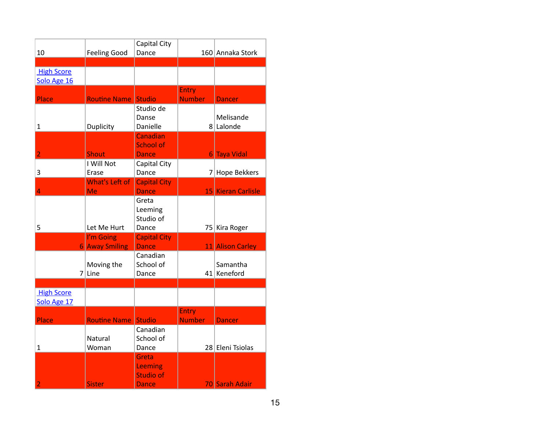|                   |                            | Capital City        |               |                    |
|-------------------|----------------------------|---------------------|---------------|--------------------|
| 10                | <b>Feeling Good</b>        | Dance               |               | 160 Annaka Stork   |
|                   |                            |                     |               |                    |
| <b>High Score</b> |                            |                     |               |                    |
| Solo Age 16       |                            |                     |               |                    |
|                   |                            |                     | <b>Entry</b>  |                    |
| Place             | <b>Routine Name</b>        | <b>Studio</b>       | <b>Number</b> | <b>Dancer</b>      |
|                   |                            | Studio de           |               |                    |
|                   |                            | Danse               |               | Melisande          |
| $\mathbf{1}$      | Duplicity                  | Danielle            |               | 8 Lalonde          |
|                   |                            | Canadian            |               |                    |
|                   |                            | <b>School of</b>    |               |                    |
| $\overline{2}$    | <b>Shout</b>               | <b>Dance</b>        |               | 6 Taya Vidal       |
|                   | I Will Not                 | Capital City        |               |                    |
| 3                 | Erase                      | Dance               |               | 7 Hope Bekkers     |
|                   | What's Left of             | <b>Capital City</b> |               |                    |
| 4                 | Me                         | <b>Dance</b>        |               | 15 Kieran Carlisle |
|                   |                            | Greta               |               |                    |
|                   |                            | Leeming             |               |                    |
|                   |                            | Studio of           |               |                    |
| 5                 | Let Me Hurt                | Dance               |               | 75 Kira Roger      |
|                   | I'm Going                  | <b>Capital City</b> |               |                    |
|                   | <b>6 Away Smiling</b>      | <b>Dance</b>        |               | 11 Alison Carley   |
|                   |                            | Canadian            |               |                    |
|                   | Moving the                 | School of           |               | Samantha           |
|                   | $7$ Line                   | Dance               |               | 41 Keneford        |
|                   |                            |                     |               |                    |
| <b>High Score</b> |                            |                     |               |                    |
| Solo Age 17       |                            |                     |               |                    |
|                   |                            |                     | <b>Entry</b>  |                    |
| Place             | <b>Routine Name Studio</b> |                     | <b>Number</b> | <b>Dancer</b>      |
|                   |                            | Canadian            |               |                    |
|                   | Natural                    | School of           |               |                    |
| $\mathbf 1$       | Woman                      | Dance               |               | 28 Eleni Tsiolas   |
|                   |                            | Greta               |               |                    |
|                   |                            | Leeming             |               |                    |
|                   |                            | <b>Studio of</b>    |               |                    |
| $\overline{2}$    | <b>Sister</b>              | Dance               |               | 70 Sarah Adair     |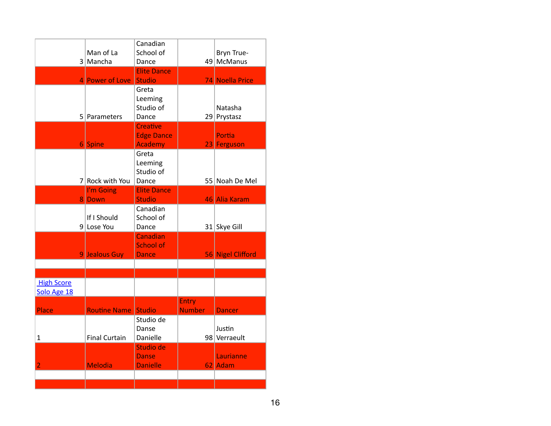|                   |                            | Canadian                            |               |                   |
|-------------------|----------------------------|-------------------------------------|---------------|-------------------|
|                   | Man of La                  | School of                           |               | Bryn True-        |
|                   | 3 Mancha                   | Dance                               |               | 49 McManus        |
|                   |                            | <b>Elite Dance</b><br><b>Studio</b> |               |                   |
|                   | 4 Power of Love            | Greta                               |               | 74 Noella Price   |
|                   |                            | Leeming                             |               |                   |
|                   |                            | Studio of                           |               | Natasha           |
|                   | 5 Parameters               | Dance                               |               | 29 Prystasz       |
|                   |                            | <b>Creative</b>                     |               |                   |
|                   |                            | <b>Edge Dance</b>                   |               | Portia            |
|                   | 6 Spine                    | <b>Academy</b>                      |               | 23 Ferguson       |
|                   |                            | Greta                               |               |                   |
|                   |                            | Leeming<br>Studio of                |               |                   |
|                   | 7 Rock with You            | Dance                               |               | 55 Noah De Mel    |
|                   | I'm Going                  | <b>Elite Dance</b>                  |               |                   |
|                   | 8 Down                     | <b>Studio</b>                       |               | 46 Alia Karam     |
|                   |                            | Canadian                            |               |                   |
|                   | If I Should                | School of                           |               |                   |
|                   | $9$ Lose You               | Dance                               |               | 31 Skye Gill      |
|                   |                            | Canadian                            |               |                   |
|                   | 9 Jealous Guy              | <b>School of</b><br><b>Dance</b>    |               | 56 Nigel Clifford |
|                   |                            |                                     |               |                   |
|                   |                            |                                     |               |                   |
| <b>High Score</b> |                            |                                     |               |                   |
| Solo Age 18       |                            |                                     |               |                   |
|                   |                            |                                     | <b>Entry</b>  |                   |
| Place             | <b>Routine Name Studio</b> |                                     | <b>Number</b> | <b>Dancer</b>     |
|                   |                            | Studio de                           |               |                   |
|                   |                            | Danse                               |               | Justin            |
| $\mathbf{1}$      | <b>Final Curtain</b>       | Danielle<br>Studio de               |               | 98 Verraeult      |
|                   |                            | <b>Danse</b>                        |               | Laurianne         |
| $\overline{2}$    | <b>Melodia</b>             | <b>Danielle</b>                     |               | 62 Adam           |
|                   |                            |                                     |               |                   |
|                   |                            |                                     |               |                   |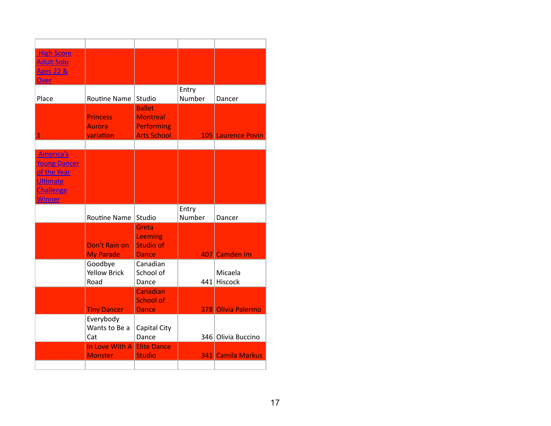| <b>High Score</b><br><b>Adult Solo</b> |                                  |                                      |        |                    |
|----------------------------------------|----------------------------------|--------------------------------------|--------|--------------------|
| <b>Ages 22 &amp;</b><br><b>Over</b>    |                                  |                                      |        |                    |
|                                        |                                  |                                      | Entry  |                    |
| Place                                  | Routine Name                     | Studio                               | Number | Dancer             |
|                                        |                                  | <b>Ballet</b>                        |        |                    |
|                                        | <b>Princess</b><br><b>Aurora</b> | <b>Montreal</b><br><b>Performing</b> |        |                    |
| 1                                      | variation                        | <b>Arts School</b>                   |        | 105 Laurence Povin |
|                                        |                                  |                                      |        |                    |
| America's                              |                                  |                                      |        |                    |
| <b>Young Dancer</b>                    |                                  |                                      |        |                    |
| of the Year<br><b>Ultimate</b>         |                                  |                                      |        |                    |
| Challenge                              |                                  |                                      |        |                    |
| <b>Winner</b>                          |                                  |                                      |        |                    |
|                                        |                                  |                                      | Entry  |                    |
|                                        | <b>Routine Name</b>              | Studio                               | Number | Dancer             |
|                                        |                                  |                                      |        |                    |
|                                        |                                  | Greta                                |        |                    |
|                                        | Don't Rain on                    | Leeming<br><b>Studio of</b>          |        |                    |
|                                        | <b>My Parade</b>                 | <b>Dance</b>                         |        | 407 Camden Im      |
|                                        | Goodbye                          | Canadian                             |        |                    |
|                                        | <b>Yellow Brick</b>              | School of                            |        | Micaela            |
|                                        | Road                             | Dance                                |        | 441 Hiscock        |
|                                        |                                  | Canadian<br><b>School of</b>         |        |                    |
|                                        | <b>Tiny Dancer</b>               | <b>Dance</b>                         |        | 378 Olivia Palermo |
|                                        | Everybody                        |                                      |        |                    |
|                                        | Wants to Be a                    | Capital City                         |        |                    |
|                                        | Cat                              | Dance                                |        | 346 Olivia Buccino |
|                                        | In Love With A<br><b>Monster</b> | <b>Elite Dance</b><br><b>Studio</b>  |        | 341 Camila Markus  |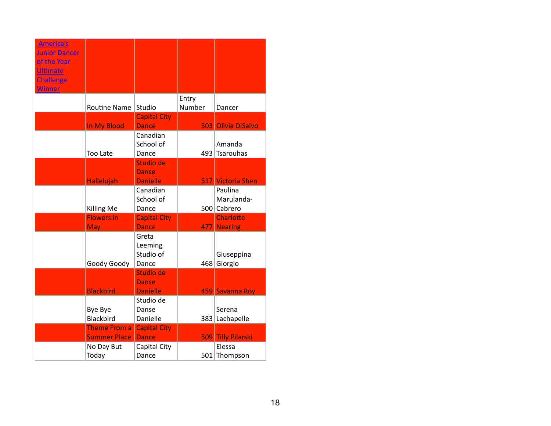| <b>America's</b>                    |                                            |                                     |        |                           |
|-------------------------------------|--------------------------------------------|-------------------------------------|--------|---------------------------|
| <b>Junior Dancer</b><br>of the Year |                                            |                                     |        |                           |
| <b>Ultimate</b>                     |                                            |                                     |        |                           |
| <b>Challenge</b>                    |                                            |                                     |        |                           |
| <b>Winner</b>                       |                                            |                                     | Entry  |                           |
|                                     | <b>Routine Name</b>                        | Studio                              | Number | Dancer                    |
|                                     |                                            | <b>Capital City</b>                 |        |                           |
|                                     | In My Blood                                | <b>Dance</b>                        |        | 503 Olivia DiSalvo        |
|                                     |                                            | Canadian<br>School of               |        | Amanda                    |
|                                     | Too Late                                   | Dance                               |        | 493 Tsarouhas             |
|                                     |                                            | Studio de                           |        |                           |
|                                     |                                            | Danse                               |        |                           |
|                                     | <b>Hallelujah</b>                          | <b>Danielle</b>                     |        | 517 Victoria Shen         |
|                                     |                                            | Canadian                            |        | Paulina                   |
|                                     | <b>Killing Me</b>                          | School of<br>Dance                  |        | Marulanda-<br>500 Cabrero |
|                                     | <b>Flowers in</b>                          | <b>Capital City</b>                 |        | <b>Charlotte</b>          |
|                                     | May                                        | <b>Dance</b>                        |        | 477 Nearing               |
|                                     |                                            | Greta                               |        |                           |
|                                     |                                            | Leeming                             |        |                           |
|                                     | Goody Goody                                | Studio of<br>Dance                  | 468    | Giuseppina<br>Giorgio     |
|                                     |                                            | Studio de                           |        |                           |
|                                     |                                            | Danse                               |        |                           |
|                                     | <b>Blackbird</b>                           | <b>Danielle</b>                     |        | 459 Savanna Roy           |
|                                     |                                            | Studio de                           |        |                           |
|                                     | Bye Bye                                    | Danse                               |        | Serena                    |
|                                     | Blackbird                                  | Danielle                            |        | 383 Lachapelle            |
|                                     | <b>Theme From a</b><br><b>Summer Place</b> | <b>Capital City</b><br><b>Dance</b> |        | 509 Tilly Pilarski        |
|                                     | No Day But                                 | Capital City                        |        | Elessa                    |
|                                     | Today                                      | Dance                               |        | 501 Thompson              |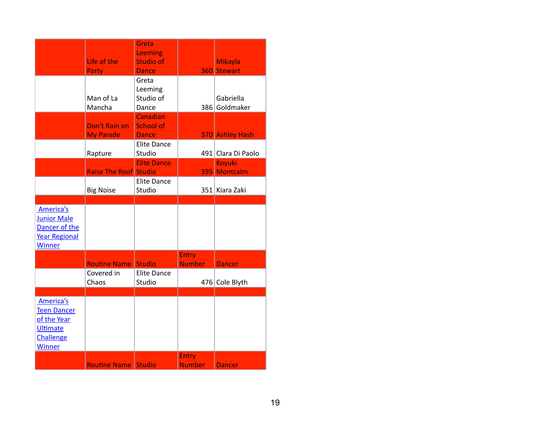|                                                                                                 |                                   | Greta<br>Leeming                       |                               |                               |
|-------------------------------------------------------------------------------------------------|-----------------------------------|----------------------------------------|-------------------------------|-------------------------------|
|                                                                                                 | Life of the<br>Party              | Studio of<br><b>Dance</b>              |                               | <b>Mikayla</b><br>360 Stewart |
|                                                                                                 | Man of La<br>Mancha               | Greta<br>Leeming<br>Studio of<br>Dance |                               | Gabriella<br>386 Goldmaker    |
|                                                                                                 | Don't Rain on<br><b>My Parade</b> | Canadian<br>School of<br><b>Dance</b>  |                               | 370 Ashley Hash               |
|                                                                                                 | Rapture                           | <b>Elite Dance</b><br>Studio           |                               | 491 Clara Di Paolo            |
|                                                                                                 | <b>Raise The Roof Studio</b>      | <b>Elite Dance</b>                     |                               | <b>Koyuki</b><br>395 Montcalm |
|                                                                                                 | <b>Big Noise</b>                  | <b>Elite Dance</b><br>Studio           |                               | 351 Kiara Zaki                |
| America's<br><b>Junior Male</b><br>Dancer of the<br>Year Regional<br><b>Winner</b>              |                                   |                                        |                               |                               |
|                                                                                                 | <b>Routine Name</b>               | <b>Studio</b>                          | <b>Entry</b><br><b>Number</b> | <b>Dancer</b>                 |
|                                                                                                 | Covered in<br>Chaos               | <b>Elite Dance</b><br>Studio           |                               | 476 Cole Blyth                |
| America's<br><b>Teen Dancer</b><br>of the Year<br><b>Ultimate</b><br>Challenge<br><b>Winner</b> |                                   |                                        | <b>Entry</b>                  |                               |
|                                                                                                 | <b>Routine Name Studio</b>        |                                        | <b>Number</b>                 | <b>Dancer</b>                 |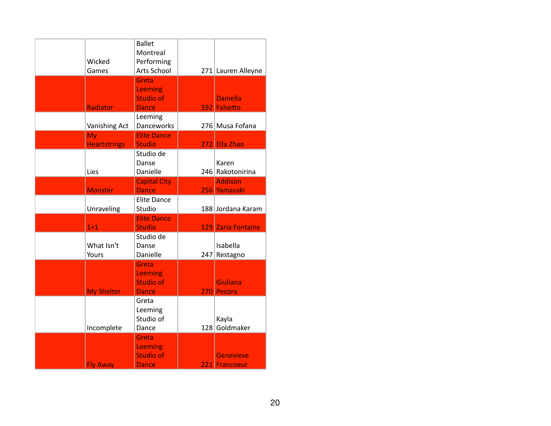| Wicked<br>Games           | <b>Ballet</b><br>Montreal<br>Performing<br>Arts School |     | 271 Lauren Alleyne                |
|---------------------------|--------------------------------------------------------|-----|-----------------------------------|
| Radiator                  | Greta<br>Leeming<br><b>Studio of</b><br><b>Dance</b>   |     | <b>Daniella</b><br>192 Falsetto   |
| Vanishing Act             | Leeming<br>Danceworks                                  |     | 276 Musa Fofana                   |
| My<br><b>Heartstrings</b> | <b>Elite Dance</b><br><b>Studio</b>                    |     | 272 Ella Zhao                     |
| Lies                      | Studio de<br>Danse<br>Danielle                         |     | Karen<br>246 Rakotonirina         |
| <b>Monster</b>            | <b>Capital City</b><br><b>Dance</b>                    |     | <b>Addison</b><br>256 Yamasaki    |
| Unraveling                | <b>Elite Dance</b><br>Studio                           |     | 188 Jordana Karam                 |
| $1 + 1$                   | <b>Elite Dance</b><br><b>Studio</b>                    |     | 129 Zaria Fontaine                |
| What Isn't<br>Yours       | Studio de<br>Danse<br>Danielle                         | 247 | Isabella<br>Restagno              |
| <b>My Shelter</b>         | Greta<br>Leeming<br><b>Studio of</b><br><b>Dance</b>   |     | <b>Giuliana</b><br>270 Pecora     |
| Incomplete                | Greta<br>Leeming<br>Studio of<br>Dance                 | 128 | Kayla<br>Goldmaker                |
| <b>Fly Away</b>           | Greta<br>Leeming<br><b>Studio of</b><br><b>Dance</b>   |     | <b>Genevieve</b><br>221 Francoeur |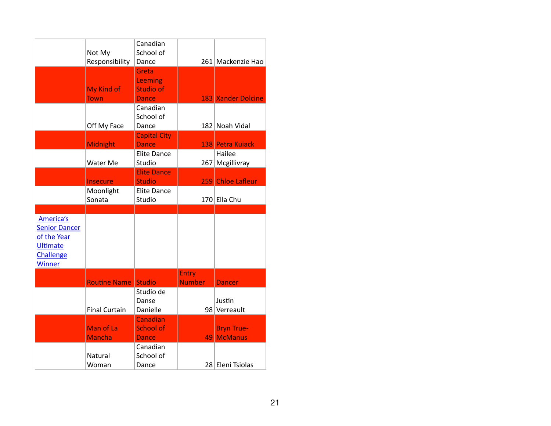|                                                                                                   | Not My<br>Responsibility   | Canadian<br>School of<br>Dance                       |                               | 261 Mackenzie Hao               |
|---------------------------------------------------------------------------------------------------|----------------------------|------------------------------------------------------|-------------------------------|---------------------------------|
|                                                                                                   | My Kind of<br><b>Town</b>  | Greta<br>Leeming<br><b>Studio of</b><br><b>Dance</b> |                               | 183 Xander Dolcine              |
|                                                                                                   | Off My Face                | Canadian<br>School of<br>Dance                       |                               | 182 Noah Vidal                  |
|                                                                                                   | <b>Midnight</b>            | <b>Capital City</b><br><b>Dance</b>                  |                               | 138 Petra Kuiack                |
|                                                                                                   | Water Me                   | <b>Elite Dance</b><br>Studio<br><b>Elite Dance</b>   | 267                           | Hailee<br>Mcgillivray           |
|                                                                                                   | <b>Insecure</b>            | <b>Studio</b>                                        |                               | 259 Chloe Lafleur               |
|                                                                                                   | Moonlight<br>Sonata        | <b>Elite Dance</b><br>Studio                         |                               | 170 Ella Chu                    |
| America's<br><b>Senior Dancer</b><br>of the Year<br><b>Ultimate</b><br>Challenge<br><b>Winner</b> |                            |                                                      |                               |                                 |
|                                                                                                   | <b>Routine Name</b>        | <b>Studio</b>                                        | <b>Entry</b><br><b>Number</b> | <b>Dancer</b>                   |
|                                                                                                   | <b>Final Curtain</b>       | Studio de<br>Danse<br>Danielle                       |                               | Justin<br>98 Verreault          |
|                                                                                                   | Man of La<br><b>Mancha</b> | Canadian<br><b>School of</b><br><b>Dance</b>         |                               | <b>Bryn True-</b><br>49 McManus |
|                                                                                                   | Natural<br>Woman           | Canadian<br>School of<br>Dance                       |                               | 28 Eleni Tsiolas                |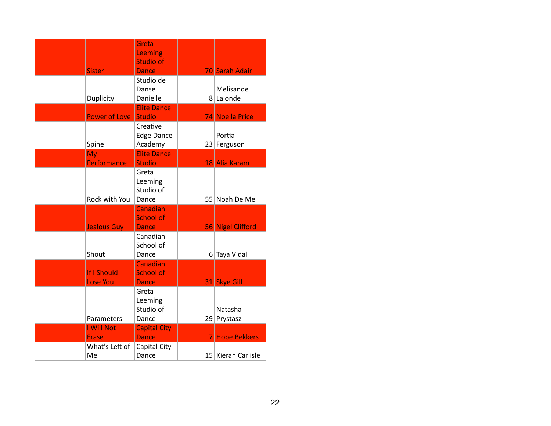|                                | Greta<br>Leeming<br><b>Studio of</b>         |                                 |
|--------------------------------|----------------------------------------------|---------------------------------|
| <b>Sister</b>                  | <b>Dance</b>                                 | 70 Sarah Adair                  |
| Duplicity                      | Studio de<br>Danse<br>Danielle               | Melisande<br>8 Lalonde          |
| <b>Power of Love</b>           | <b>Elite Dance</b><br>Studio                 | 74 Noella Price                 |
| Spine                          | Creative<br><b>Edge Dance</b><br>Academy     | Portia<br>23 Ferguson           |
| My<br><b>Performance</b>       | <b>Elite Dance</b><br><b>Studio</b>          |                                 |
| Rock with You                  | Greta<br>Leeming<br>Studio of<br>Dance       | 18 Alia Karam<br>55 Noah De Mel |
| <b>Jealous Guy</b>             | Canadian<br><b>School of</b><br><b>Dance</b> | 56 Nigel Clifford               |
| Shout                          | Canadian<br>School of<br>Dance               | 6 Taya Vidal                    |
| If I Should<br><b>Lose You</b> | Canadian<br><b>School of</b><br><b>Dance</b> | 31 Skye Gill                    |
| Parameters                     | Greta<br>Leeming<br>Studio of<br>Dance       | Natasha<br>29 Prystasz          |
| I Will Not<br><b>Erase</b>     | <b>Capital City</b><br><b>Dance</b>          | 7 Hope Bekkers                  |
| What's Left of<br>Me           | Capital City<br>Dance                        | 15 Kieran Carlisle              |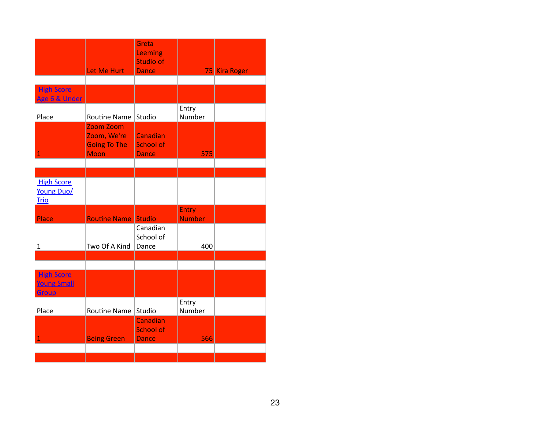|                                                  |                                                                | Greta<br>Leeming<br><b>Studio of</b>         |                        |               |
|--------------------------------------------------|----------------------------------------------------------------|----------------------------------------------|------------------------|---------------|
|                                                  | Let Me Hurt                                                    | <b>Dance</b>                                 |                        | 75 Kira Roger |
| <b>High Score</b>                                |                                                                |                                              |                        |               |
| Age 6 & Under                                    |                                                                |                                              |                        |               |
| Place                                            | <b>Routine Name</b>                                            | Studio                                       | Entry<br>Number        |               |
| $\overline{1}$                                   | Zoom Zoom<br>Zoom, We're<br><b>Going To The</b><br><b>Moon</b> | Canadian<br><b>School of</b><br><b>Dance</b> | 575                    |               |
|                                                  |                                                                |                                              |                        |               |
|                                                  |                                                                |                                              |                        |               |
| <b>High Score</b><br>Young Duo/<br><b>Trio</b>   |                                                                |                                              |                        |               |
| Place                                            | <b>Routine Name Studio</b>                                     |                                              | Entry<br><b>Number</b> |               |
| $\mathbf 1$                                      | Two Of A Kind                                                  | Canadian<br>School of<br>Dance               | 400                    |               |
|                                                  |                                                                |                                              |                        |               |
| <b>High Score</b><br><b>Young Small</b><br>Group |                                                                |                                              |                        |               |
| Place                                            | Routine Name                                                   | Studio                                       | Entry<br>Number        |               |
| 1                                                | <b>Being Green</b>                                             | Canadian<br><b>School of</b><br><b>Dance</b> | 566                    |               |
|                                                  |                                                                |                                              |                        |               |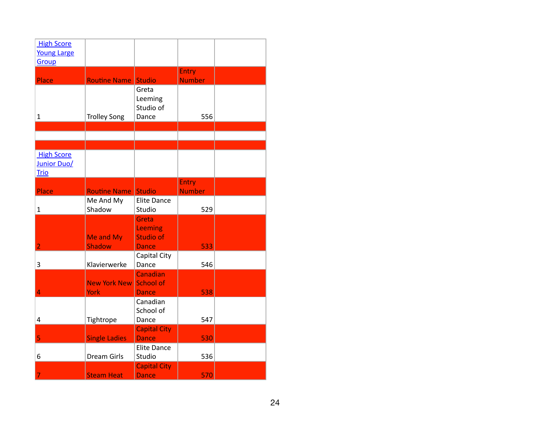| <b>High Score</b>  |                      |                     |               |  |
|--------------------|----------------------|---------------------|---------------|--|
| <b>Young Large</b> |                      |                     |               |  |
|                    |                      |                     |               |  |
| Group              |                      |                     |               |  |
|                    |                      |                     | <b>Entry</b>  |  |
| Place              | <b>Routine Name</b>  | <b>Studio</b>       | <b>Number</b> |  |
|                    |                      | Greta               |               |  |
|                    |                      |                     |               |  |
|                    |                      | Leeming             |               |  |
|                    |                      | Studio of           |               |  |
| $\mathbf{1}$       | <b>Trolley Song</b>  | Dance               | 556           |  |
|                    |                      |                     |               |  |
|                    |                      |                     |               |  |
|                    |                      |                     |               |  |
|                    |                      |                     |               |  |
| <b>High Score</b>  |                      |                     |               |  |
| Junior Duo/        |                      |                     |               |  |
| <b>Trio</b>        |                      |                     |               |  |
|                    |                      |                     | <b>Entry</b>  |  |
| Place              | <b>Routine Name</b>  | <b>Studio</b>       | <b>Number</b> |  |
|                    |                      |                     |               |  |
|                    | Me And My            | <b>Elite Dance</b>  |               |  |
| 1                  | Shadow               | Studio              | 529           |  |
|                    |                      | Greta               |               |  |
|                    |                      | Leeming             |               |  |
|                    | Me and My            | <b>Studio of</b>    |               |  |
| $\overline{2}$     | <b>Shadow</b>        |                     | 533           |  |
|                    |                      | <b>Dance</b>        |               |  |
|                    |                      | Capital City        |               |  |
| 3                  | Klavierwerke         | Dance               | 546           |  |
|                    |                      | Canadian            |               |  |
|                    | <b>New York New</b>  | <b>School of</b>    |               |  |
| 4                  | <b>York</b>          | <b>Dance</b>        | 538           |  |
|                    |                      |                     |               |  |
|                    |                      | Canadian            |               |  |
|                    |                      | School of           |               |  |
| 4                  | Tightrope            | Dance               | 547           |  |
|                    |                      | <b>Capital City</b> |               |  |
| 5                  | <b>Single Ladies</b> | <b>Dance</b>        | 530           |  |
|                    |                      | <b>Elite Dance</b>  |               |  |
|                    |                      |                     |               |  |
| 6                  | Dream Girls          | Studio              | 536           |  |
|                    |                      | <b>Capital City</b> |               |  |
| $\overline{7}$     | <b>Steam Heat</b>    | <b>Dance</b>        | 570           |  |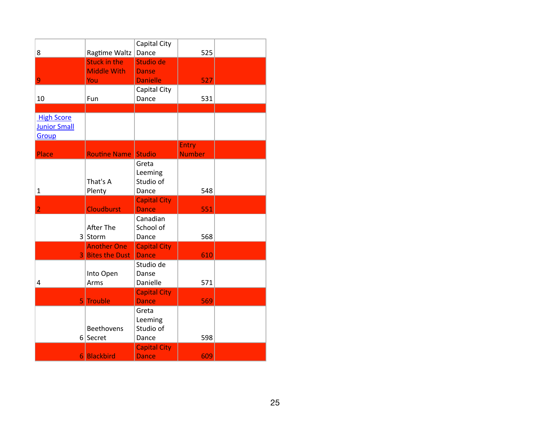|                     |                         | Capital City                        |               |  |
|---------------------|-------------------------|-------------------------------------|---------------|--|
| 8                   | Ragtime Waltz           | Dance                               | 525           |  |
|                     | <b>Stuck in the</b>     | Studio de                           |               |  |
|                     | <b>Middle With</b>      | <b>Danse</b>                        |               |  |
| 9                   | You                     | <b>Danielle</b>                     | 527           |  |
|                     |                         | Capital City                        |               |  |
| 10                  | Fun                     | Dance                               | 531           |  |
|                     |                         |                                     |               |  |
| <b>High Score</b>   |                         |                                     |               |  |
| <b>Junior Small</b> |                         |                                     |               |  |
| Group               |                         |                                     |               |  |
|                     |                         |                                     | <b>Entry</b>  |  |
| Place               | <b>Routine Name</b>     | <b>Studio</b>                       | <b>Number</b> |  |
|                     |                         | Greta                               |               |  |
|                     |                         | Leeming                             |               |  |
|                     | That's A                | Studio of                           |               |  |
| 1                   | Plenty                  | Dance                               | 548           |  |
| $\overline{2}$      | <b>Cloudburst</b>       | <b>Capital City</b><br><b>Dance</b> | 551           |  |
|                     |                         | Canadian                            |               |  |
|                     | <b>After The</b>        | School of                           |               |  |
|                     | 3 Storm                 | Dance                               | 568           |  |
|                     | <b>Another One</b>      | <b>Capital City</b>                 |               |  |
|                     | <b>3 Bites the Dust</b> | <b>Dance</b>                        | 610           |  |
|                     |                         | Studio de                           |               |  |
|                     | Into Open               | Danse                               |               |  |
| $\overline{4}$      | Arms                    | Danielle                            | 571           |  |
|                     | 5 Trouble               | <b>Capital City</b><br><b>Dance</b> | 569           |  |
|                     |                         | Greta                               |               |  |
|                     |                         | Leeming                             |               |  |
|                     | <b>Beethovens</b>       | Studio of                           |               |  |
|                     | 6 Secret                | Dance                               | 598           |  |
|                     |                         | <b>Capital City</b>                 |               |  |
|                     | 6 Blackbird             | <b>Dance</b>                        | 609           |  |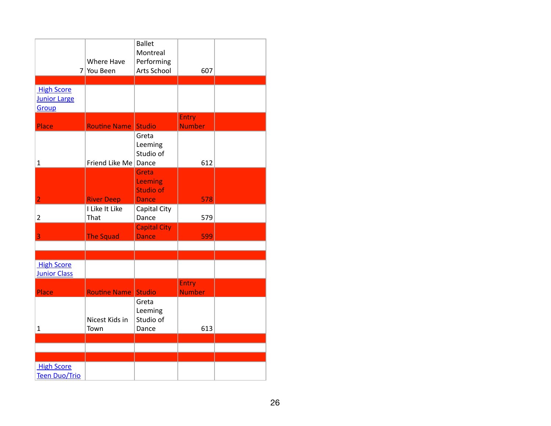| 7 <sup>1</sup>                                    | Where Have<br>You Been | <b>Ballet</b><br>Montreal<br>Performing<br>Arts School | 607                           |  |
|---------------------------------------------------|------------------------|--------------------------------------------------------|-------------------------------|--|
|                                                   |                        |                                                        |                               |  |
| <b>High Score</b><br><b>Junior Large</b><br>Group |                        |                                                        |                               |  |
| Place                                             | <b>Routine Name</b>    | <b>Studio</b>                                          | <b>Entry</b><br><b>Number</b> |  |
| $\mathbf{1}$                                      | Friend Like Me Dance   | Greta<br>Leeming<br>Studio of                          | 612                           |  |
| $\overline{2}$                                    | <b>River Deep</b>      | Greta<br>Leeming<br><b>Studio of</b><br><b>Dance</b>   | 578                           |  |
| $\overline{2}$                                    | I Like It Like<br>That | Capital City<br>Dance                                  | 579                           |  |
| 3                                                 | <b>The Squad</b>       | <b>Capital City</b><br><b>Dance</b>                    | 599                           |  |
|                                                   |                        |                                                        |                               |  |
| <b>High Score</b><br><b>Junior Class</b>          |                        |                                                        |                               |  |
| Place                                             | <b>Routine Name</b>    | <b>Studio</b>                                          | Entry<br><b>Number</b>        |  |
| $\mathbf{1}$                                      | Nicest Kids in<br>Town | Greta<br>Leeming<br>Studio of<br>Dance                 | 613                           |  |
|                                                   |                        |                                                        |                               |  |
|                                                   |                        |                                                        |                               |  |
|                                                   |                        |                                                        |                               |  |
| <b>High Score</b><br><b>Teen Duo/Trio</b>         |                        |                                                        |                               |  |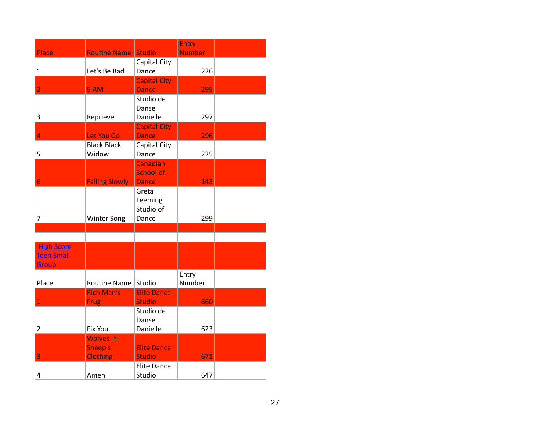|                   |                       |                           | Entry         |  |
|-------------------|-----------------------|---------------------------|---------------|--|
| Place             | <b>Routine Name</b>   | <b>Studio</b>             | <b>Number</b> |  |
|                   |                       | Capital City              |               |  |
| $\mathbf{1}$      | Let's Be Bad          | Dance                     | 226           |  |
| $\overline{2}$    |                       | <b>Capital City</b>       |               |  |
|                   | 5 AM                  | <b>Dance</b><br>Studio de | 295           |  |
|                   |                       | Danse                     |               |  |
| 3                 | Reprieve              | Danielle                  | 297           |  |
|                   |                       | <b>Capital City</b>       |               |  |
| 4                 | Let You Go            | <b>Dance</b>              | 296           |  |
|                   | <b>Black Black</b>    | Capital City              |               |  |
| 5                 | Widow                 | Dance                     | 225           |  |
|                   |                       | Canadian                  |               |  |
|                   |                       | School of                 |               |  |
| 6                 | <b>Falling Slowly</b> | <b>Dance</b>              | 143           |  |
|                   |                       | Greta<br>Leeming          |               |  |
|                   |                       | Studio of                 |               |  |
| 7                 | <b>Winter Song</b>    | Dance                     | 299           |  |
|                   |                       |                           |               |  |
|                   |                       |                           |               |  |
| <b>High Score</b> |                       |                           |               |  |
| <b>Teen Small</b> |                       |                           |               |  |
| Group             |                       |                           |               |  |
|                   |                       |                           | Entry         |  |
| Place             | Routine Name          | Studio                    | Number        |  |
|                   | <b>Rich Man's</b>     | <b>Elite Dance</b>        |               |  |
| $\mathbf{1}$      | <b>Frug</b>           | <b>Studio</b>             | 660           |  |
|                   |                       | Studio de<br>Danse        |               |  |
| 2                 | Fix You               | Danielle                  | 623           |  |
|                   | <b>Wolves In</b>      |                           |               |  |
|                   | Sheep's               | <b>Elite Dance</b>        |               |  |
| 3                 | <b>Clothing</b>       | <b>Studio</b>             | 671           |  |
|                   |                       | <b>Elite Dance</b>        |               |  |
| 4                 | Amen                  | Studio                    | 647           |  |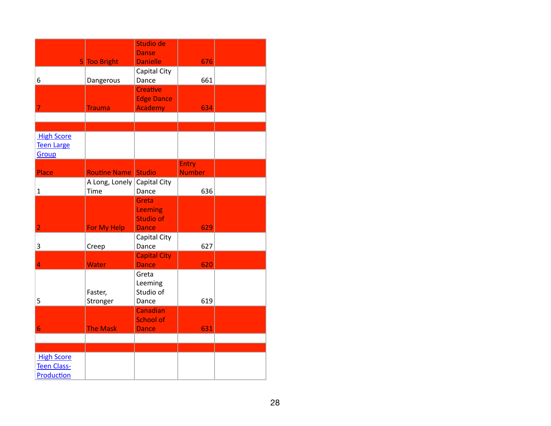|                    |                     | Studio de           |               |  |
|--------------------|---------------------|---------------------|---------------|--|
|                    |                     | <b>Danse</b>        |               |  |
|                    | 5 Too Bright        | <b>Danielle</b>     | 676           |  |
|                    |                     | Capital City        |               |  |
| 6                  | Dangerous           | Dance               | 661           |  |
|                    |                     | <b>Creative</b>     |               |  |
|                    |                     | <b>Edge Dance</b>   |               |  |
| 7                  | <b>Trauma</b>       | <b>Academy</b>      | 634           |  |
|                    |                     |                     |               |  |
|                    |                     |                     |               |  |
| <b>High Score</b>  |                     |                     |               |  |
| <b>Teen Large</b>  |                     |                     |               |  |
| Group              |                     |                     |               |  |
|                    |                     |                     | Entry         |  |
| Place              | <b>Routine Name</b> | Studio              | <b>Number</b> |  |
|                    | A Long, Lonely      | Capital City        |               |  |
| $\mathbf{1}$       | Time                | Dance               | 636           |  |
|                    |                     | Greta               |               |  |
|                    |                     | Leeming             |               |  |
|                    |                     | <b>Studio of</b>    |               |  |
| $\overline{2}$     | For My Help         | <b>Dance</b>        | 629           |  |
|                    |                     | Capital City        |               |  |
| 3                  | Creep               | Dance               | 627           |  |
|                    |                     | <b>Capital City</b> |               |  |
| $\overline{4}$     | Water               | <b>Dance</b>        | 620           |  |
|                    |                     | Greta               |               |  |
|                    |                     | Leeming             |               |  |
|                    | Faster,             | Studio of           |               |  |
| 5                  | Stronger            | Dance               | 619           |  |
|                    |                     | Canadian            |               |  |
|                    |                     | <b>School of</b>    |               |  |
| 6                  | The Mask            | <b>Dance</b>        | 631           |  |
|                    |                     |                     |               |  |
|                    |                     |                     |               |  |
| <b>High Score</b>  |                     |                     |               |  |
| <b>Teen Class-</b> |                     |                     |               |  |
| Production         |                     |                     |               |  |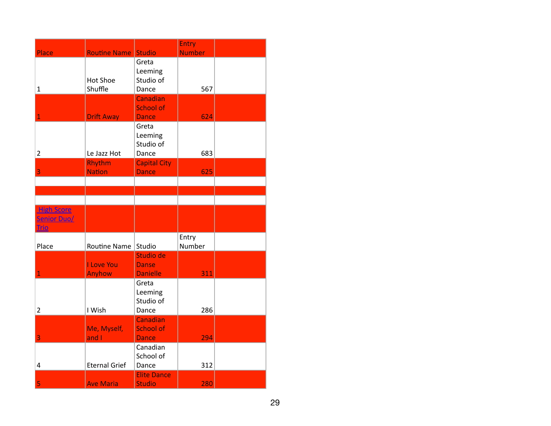|                    |                      |                           | Entry           |  |
|--------------------|----------------------|---------------------------|-----------------|--|
| Place              | Routine Name Studio  |                           | <b>Number</b>   |  |
|                    |                      | Greta                     |                 |  |
|                    |                      | Leeming                   |                 |  |
|                    | <b>Hot Shoe</b>      | Studio of                 |                 |  |
| $\mathbf{1}$       | Shuffle              | Dance                     | 567             |  |
|                    |                      | Canadian                  |                 |  |
| $\overline{1}$     | <b>Drift Away</b>    | School of<br><b>Dance</b> | 624             |  |
|                    |                      | Greta                     |                 |  |
|                    |                      | Leeming                   |                 |  |
|                    |                      | Studio of                 |                 |  |
| $\overline{2}$     | Le Jazz Hot          | Dance                     | 683             |  |
|                    | Rhythm               | <b>Capital City</b>       |                 |  |
| 3                  | <b>Nation</b>        | <b>Dance</b>              | 625             |  |
|                    |                      |                           |                 |  |
|                    |                      |                           |                 |  |
|                    |                      |                           |                 |  |
| <b>High Score</b>  |                      |                           |                 |  |
| <b>Senior Duo/</b> |                      |                           |                 |  |
| <b>Trio</b>        |                      |                           |                 |  |
| Place              | Routine Name         | Studio                    | Entry<br>Number |  |
|                    |                      | Studio de                 |                 |  |
|                    | I Love You           | <b>Danse</b>              |                 |  |
| $\mathbf{1}$       | Anyhow               | <b>Danielle</b>           | 311             |  |
|                    |                      | Greta                     |                 |  |
|                    |                      | Leeming                   |                 |  |
|                    |                      | Studio of                 |                 |  |
| $\overline{2}$     | I Wish               | Dance                     | 286             |  |
|                    |                      | Canadian                  |                 |  |
|                    | Me, Myself,          | <b>School of</b>          |                 |  |
| 3                  | and I                | <b>Dance</b>              | 294             |  |
|                    |                      | Canadian                  |                 |  |
| 4                  | <b>Eternal Grief</b> | School of<br>Dance        | 312             |  |
|                    |                      | <b>Elite Dance</b>        |                 |  |
| 5                  | <b>Ave Maria</b>     | <b>Studio</b>             | 280             |  |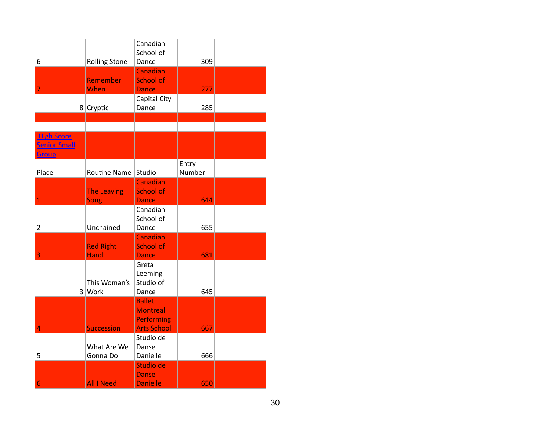| 6                                                 | <b>Rolling Stone</b>            | Canadian<br>School of<br>Dance                                              | 309             |  |
|---------------------------------------------------|---------------------------------|-----------------------------------------------------------------------------|-----------------|--|
| 7                                                 | Remember<br>When                | Canadian<br>School of<br><b>Dance</b>                                       | 277             |  |
|                                                   | $8$ Cryptic                     | Capital City<br>Dance                                                       | 285             |  |
|                                                   |                                 |                                                                             |                 |  |
| <b>High Score</b><br><b>Senior Small</b><br>Group |                                 |                                                                             |                 |  |
| Place                                             | Routine Name                    | Studio                                                                      | Entry<br>Number |  |
| 1                                                 | The Leaving<br>Song             | Canadian<br><b>School of</b><br><b>Dance</b>                                | 644             |  |
| $\overline{2}$                                    | Unchained                       | Canadian<br>School of<br>Dance                                              | 655             |  |
| 3                                                 | <b>Red Right</b><br><b>Hand</b> | Canadian<br><b>School of</b><br><b>Dance</b>                                | 681             |  |
|                                                   | This Woman's<br>3 Work          | Greta<br>Leeming<br>Studio of<br>Dance                                      | 645             |  |
| 4                                                 | <b>Succession</b>               | <b>Ballet</b><br><b>Montreal</b><br><b>Performing</b><br><b>Arts School</b> | 667             |  |
| 5                                                 | What Are We<br>Gonna Do         | Studio de<br>Danse<br>Danielle                                              | 666             |  |
| 6                                                 | <b>All I Need</b>               | Studio de<br><b>Danse</b><br><b>Danielle</b>                                | 650             |  |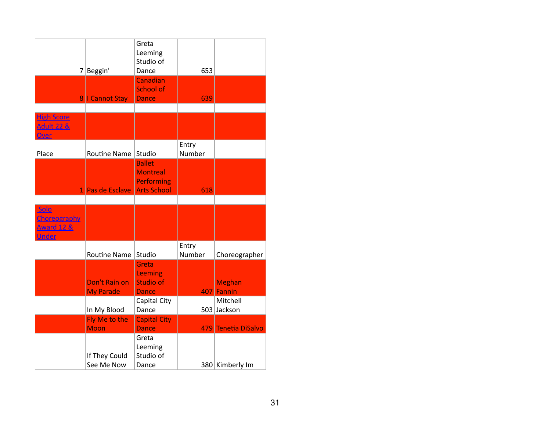|                                                                      |                                   | Greta<br>Leeming<br>Studio of                                               |                 |                             |
|----------------------------------------------------------------------|-----------------------------------|-----------------------------------------------------------------------------|-----------------|-----------------------------|
| 7                                                                    | Beggin'                           | Dance                                                                       | 653             |                             |
|                                                                      | 8   Cannot Stay                   | Canadian<br><b>School of</b><br><b>Dance</b>                                | 639             |                             |
| <b>High Score</b><br><b>Adult 22 &amp;</b><br>Over                   |                                   |                                                                             |                 |                             |
| Place                                                                | <b>Routine Name</b>               | Studio                                                                      | Entry<br>Number |                             |
|                                                                      | 1 Pas de Esclave                  | <b>Ballet</b><br><b>Montreal</b><br><b>Performing</b><br><b>Arts School</b> | 618             |                             |
|                                                                      |                                   |                                                                             |                 |                             |
| Solo<br><b>Choreography</b><br><b>Award 12 &amp;</b><br><b>Under</b> |                                   |                                                                             |                 |                             |
|                                                                      | <b>Routine Name</b>               | Studio                                                                      | Entry<br>Number | Choreographer               |
|                                                                      | Don't Rain on<br><b>My Parade</b> | Greta<br>Leeming<br><b>Studio of</b><br><b>Dance</b>                        |                 | <b>Meghan</b><br>407 Fannin |
|                                                                      | In My Blood                       | Capital City<br>Dance                                                       |                 | Mitchell<br>503 Jackson     |
|                                                                      | Fly Me to the<br><b>Moon</b>      | <b>Capital City</b><br><b>Dance</b>                                         |                 | 479 Tenetia DiSalvo         |
|                                                                      | If They Could<br>See Me Now       | Greta<br>Leeming<br>Studio of<br>Dance                                      |                 | 380 Kimberly Im             |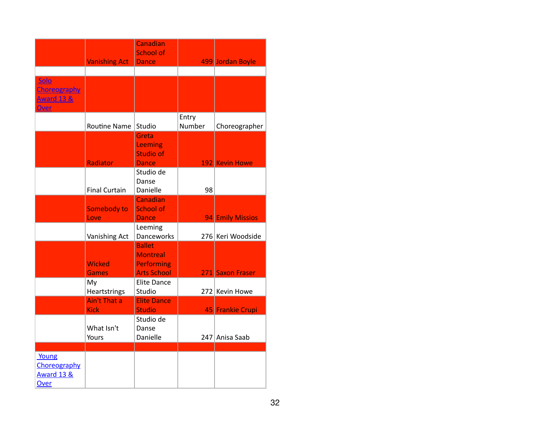|                                                        | <b>Vanishing Act</b>               | Canadian<br><b>School of</b><br><b>Dance</b>                                |                 | 499 Jordan Boyle  |
|--------------------------------------------------------|------------------------------------|-----------------------------------------------------------------------------|-----------------|-------------------|
|                                                        |                                    |                                                                             |                 |                   |
| Solo<br>Choreography<br><u>Award 13 &amp;</u><br>Over  |                                    |                                                                             |                 |                   |
|                                                        | <b>Routine Name</b>                | Studio                                                                      | Entry<br>Number | Choreographer     |
|                                                        | Radiator                           | Greta<br>Leeming<br><b>Studio of</b><br><b>Dance</b>                        |                 | 192 Kevin Howe    |
|                                                        | <b>Final Curtain</b>               | Studio de<br>Danse<br>Danielle                                              | 98              |                   |
|                                                        | Somebody to<br>Love                | <b>Canadian</b><br><b>School of</b><br><b>Dance</b>                         |                 | 94 Emily Missios  |
|                                                        | Vanishing Act                      | Leeming<br>Danceworks                                                       |                 | 276 Keri Woodside |
|                                                        | <b>Wicked</b><br><b>Games</b>      | <b>Ballet</b><br><b>Montreal</b><br><b>Performing</b><br><b>Arts School</b> |                 | 271 Saxon Fraser  |
|                                                        | My<br>Heartstrings                 | <b>Elite Dance</b><br>Studio                                                |                 | 272 Kevin Howe    |
|                                                        | <b>Ain't That a</b><br><b>Kick</b> | <b>Elite Dance</b><br><b>Studio</b>                                         |                 | 45 Frankie Crupi  |
|                                                        | What Isn't<br>Yours                | Studio de<br>Danse<br>Danielle                                              | 247             | Anisa Saab        |
| Young<br>Choreography<br><b>Award 13 &amp;</b><br>Over |                                    |                                                                             |                 |                   |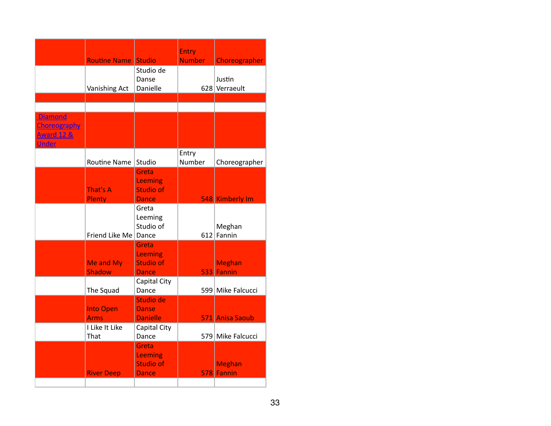|                       |                            |                  | <b>Entry</b>  |                   |
|-----------------------|----------------------------|------------------|---------------|-------------------|
|                       | <b>Routine Name Studio</b> |                  | <b>Number</b> | Choreographer     |
|                       |                            | Studio de        |               |                   |
|                       |                            | Danse            |               | Justin            |
|                       | Vanishing Act              | Danielle         |               | 628 Verraeult     |
|                       |                            |                  |               |                   |
|                       |                            |                  |               |                   |
| <b>Diamond</b>        |                            |                  |               |                   |
| <b>Choreography</b>   |                            |                  |               |                   |
| <b>Award 12 &amp;</b> |                            |                  |               |                   |
| <b>Under</b>          |                            |                  |               |                   |
|                       |                            |                  | Entry         |                   |
|                       | Routine Name               | Studio           | Number        | Choreographer     |
|                       |                            | Greta            |               |                   |
|                       |                            | Leeming          |               |                   |
|                       | That's A                   | <b>Studio of</b> |               |                   |
|                       | Plenty                     | <b>Dance</b>     |               | 548 Kimberly Im   |
|                       |                            | Greta            |               |                   |
|                       |                            | Leeming          |               |                   |
|                       |                            | Studio of        |               | Meghan            |
|                       | Friend Like Me   Dance     |                  |               | 612 Fannin        |
|                       |                            | Greta            |               |                   |
|                       |                            | Leeming          |               |                   |
|                       | Me and My                  | <b>Studio of</b> |               | <b>Meghan</b>     |
|                       | <b>Shadow</b>              | <b>Dance</b>     |               | 533 Fannin        |
|                       |                            | Capital City     |               |                   |
|                       | The Squad                  | Dance            |               | 599 Mike Falcucci |
|                       |                            | Studio de        |               |                   |
|                       | <b>Into Open</b>           | <b>Danse</b>     |               |                   |
|                       | <b>Arms</b>                | <b>Danielle</b>  |               | 571 Anisa Saoub   |
|                       | I Like It Like             | Capital City     |               |                   |
|                       | That                       | Dance            |               | 579 Mike Falcucci |
|                       |                            | Greta            |               |                   |
|                       |                            | <b>Leeming</b>   |               |                   |
|                       |                            | <b>Studio of</b> |               | <b>Meghan</b>     |
|                       | <b>River Deep</b>          | <b>Dance</b>     |               | 578 Fannin        |
|                       |                            |                  |               |                   |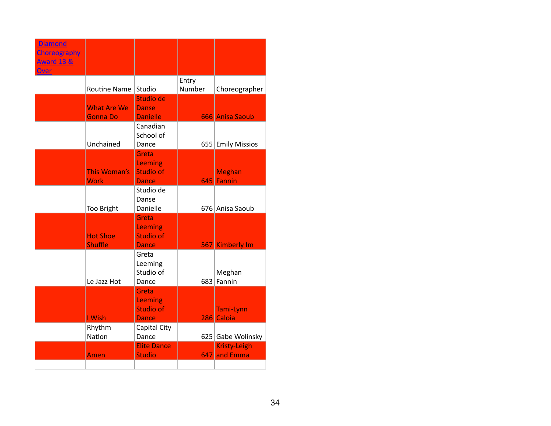| <b>Diamond</b><br><b>Choreography</b><br><b>Award 13 &amp;</b><br>Over |                                       |                                                      |                 |                              |
|------------------------------------------------------------------------|---------------------------------------|------------------------------------------------------|-----------------|------------------------------|
|                                                                        | Routine Name                          | Studio                                               | Entry<br>Number | Choreographer                |
|                                                                        | <b>What Are We</b><br><b>Gonna Do</b> | Studio de<br><b>Danse</b><br><b>Danielle</b>         |                 | 666 Anisa Saoub              |
|                                                                        | Unchained                             | Canadian<br>School of<br>Dance                       |                 | 655 Emily Missios            |
|                                                                        | This Woman's<br><b>Work</b>           | Greta<br>Leeming<br><b>Studio of</b><br><b>Dance</b> |                 | <b>Meghan</b><br>645 Fannin  |
|                                                                        | <b>Too Bright</b>                     | Studio de<br>Danse<br>Danielle                       |                 | 676 Anisa Saoub              |
|                                                                        | <b>Hot Shoe</b><br><b>Shuffle</b>     | Greta<br>Leeming<br><b>Studio of</b><br><b>Dance</b> |                 | 567 Kimberly Im              |
|                                                                        | Le Jazz Hot                           | Greta<br>Leeming<br>Studio of<br>Dance               |                 | Meghan<br>683 Fannin         |
|                                                                        | I Wish                                | Greta<br>Leeming<br><b>Studio of</b><br><b>Dance</b> |                 | Tami-Lynn<br>286 Caloia      |
|                                                                        | Rhythm<br><b>Nation</b>               | Capital City<br>Dance                                |                 | 625 Gabe Wolinsky            |
|                                                                        | Amen                                  | <b>Elite Dance</b><br><b>Studio</b>                  |                 | Kristy-Leigh<br>647 and Emma |
|                                                                        |                                       |                                                      |                 |                              |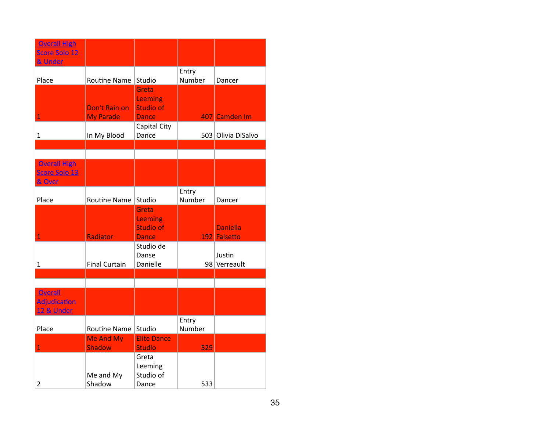| <b>Overall High</b><br>Score Solo 12<br>& Under |                                   |                                                      |                 |                                 |
|-------------------------------------------------|-----------------------------------|------------------------------------------------------|-----------------|---------------------------------|
| Place                                           | Routine Name                      | Studio                                               | Entry<br>Number | Dancer                          |
| $\mathbf{1}$                                    | Don't Rain on<br><b>My Parade</b> | Greta<br>Leeming<br><b>Studio of</b><br><b>Dance</b> |                 | 407 Camden Im                   |
| 1                                               | In My Blood                       | Capital City<br>Dance                                |                 | 503 Olivia DiSalvo              |
|                                                 |                                   |                                                      |                 |                                 |
| <b>Overall High</b><br>Score Solo 13<br>& Over  |                                   |                                                      |                 |                                 |
| Place                                           | Routine Name                      | Studio                                               | Entry<br>Number | Dancer                          |
| $\mathbf{1}$                                    | Radiator                          | Greta<br>Leeming<br><b>Studio of</b><br><b>Dance</b> |                 | <b>Daniella</b><br>192 Falsetto |
| $\mathbf{1}$                                    | <b>Final Curtain</b>              | Studio de<br>Danse<br>Danielle                       |                 | Justin<br>98 Verreault          |
|                                                 |                                   |                                                      |                 |                                 |
| Overall<br><b>Adjudication</b><br>12 & Under    |                                   |                                                      |                 |                                 |
| Place                                           | Routine Name                      | Studio                                               | Entry<br>Number |                                 |
| $\mathbf{1}$                                    | Me And My<br><b>Shadow</b>        | <b>Elite Dance</b><br><b>Studio</b>                  | 529             |                                 |
| $\overline{2}$                                  | Me and My<br>Shadow               | Greta<br>Leeming<br>Studio of<br>Dance               | 533             |                                 |